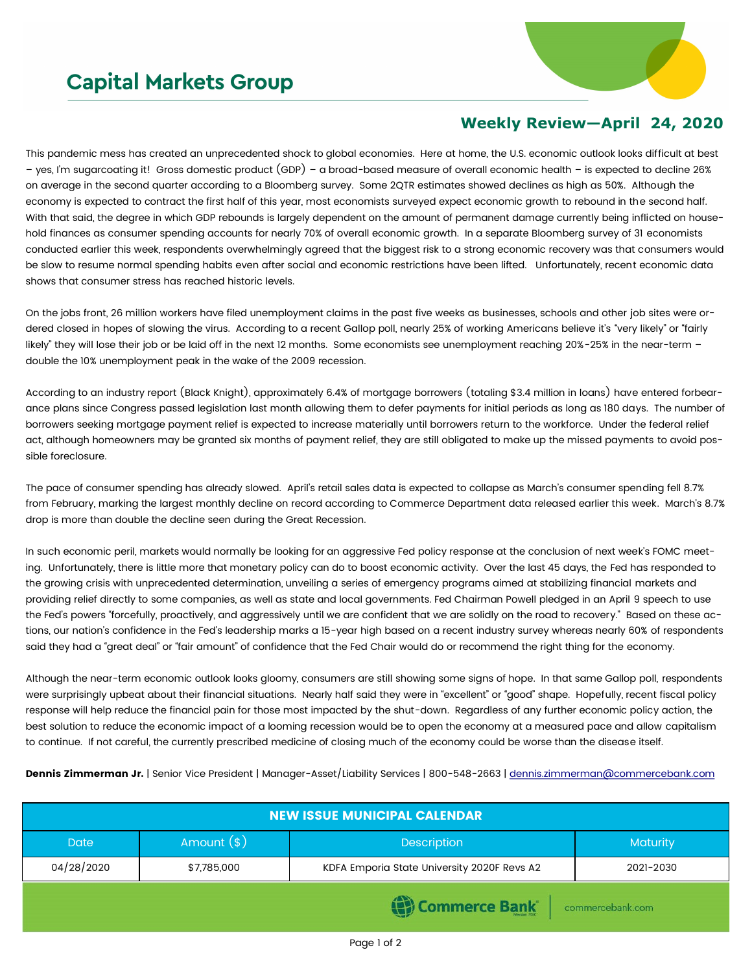## **Capital Markets Group**



## **Weekly Review—April 24, 2020**

This pandemic mess has created an unprecedented shock to global economies. Here at home, the U.S. economic outlook looks difficult at best – yes, I'm sugarcoating it! Gross domestic product (GDP) – a broad-based measure of overall economic health – is expected to decline 26% on average in the second quarter according to a Bloomberg survey. Some 2QTR estimates showed declines as high as 50%. Although the economy is expected to contract the first half of this year, most economists surveyed expect economic growth to rebound in the second half. With that said, the degree in which GDP rebounds is largely dependent on the amount of permanent damage currently being inflicted on household finances as consumer spending accounts for nearly 70% of overall economic growth. In a separate Bloomberg survey of 31 economists conducted earlier this week, respondents overwhelmingly agreed that the biggest risk to a strong economic recovery was that consumers would be slow to resume normal spending habits even after social and economic restrictions have been lifted. Unfortunately, recent economic data shows that consumer stress has reached historic levels.

On the jobs front, 26 million workers have filed unemployment claims in the past five weeks as businesses, schools and other job sites were ordered closed in hopes of slowing the virus. According to a recent Gallop poll, nearly 25% of working Americans believe it's "very likely" or "fairly likely" they will lose their job or be laid off in the next 12 months. Some economists see unemployment reaching 20%-25% in the near-term double the 10% unemployment peak in the wake of the 2009 recession.

According to an industry report (Black Knight), approximately 6.4% of mortgage borrowers (totaling \$3.4 million in loans) have entered forbearance plans since Congress passed legislation last month allowing them to defer payments for initial periods as long as 180 days. The number of borrowers seeking mortgage payment relief is expected to increase materially until borrowers return to the workforce. Under the federal relief act, although homeowners may be granted six months of payment relief, they are still obligated to make up the missed payments to avoid possible foreclosure.

The pace of consumer spending has already slowed. April's retail sales data is expected to collapse as March's consumer spending fell 8.7% from February, marking the largest monthly decline on record according to Commerce Department data released earlier this week. March's 8.7% drop is more than double the decline seen during the Great Recession.

In such economic peril, markets would normally be looking for an aggressive Fed policy response at the conclusion of next week's FOMC meeting. Unfortunately, there is little more that monetary policy can do to boost economic activity. Over the last 45 days, the Fed has responded to the growing crisis with unprecedented determination, unveiling a series of emergency programs aimed at stabilizing financial markets and providing relief directly to some companies, as well as state and local governments. Fed Chairman Powell pledged in an April 9 speech to use the Fed's powers "forcefully, proactively, and aggressively until we are confident that we are solidly on the road to recovery." Based on these actions, our nation's confidence in the Fed's leadership marks a 15-year high based on a recent industry survey whereas nearly 60% of respondents said they had a "great deal" or "fair amount" of confidence that the Fed Chair would do or recommend the right thing for the economy.

Although the near-term economic outlook looks gloomy, consumers are still showing some signs of hope. In that same Gallop poll, respondents were surprisingly upbeat about their financial situations. Nearly half said they were in "excellent" or "good" shape. Hopefully, recent fiscal policy response will help reduce the financial pain for those most impacted by the shut-down. Regardless of any further economic policy action, the best solution to reduce the economic impact of a looming recession would be to open the economy at a measured pace and allow capitalism to continue. If not careful, the currently prescribed medicine of closing much of the economy could be worse than the disease itself.

Dennis Zimmerman Jr. | Senior Vice President | Manager-Asset/Liability Services | 800-548-2663 | [dennis.zimmerman@commercebank.com](mailto:Dennis.Zimmerman@commercebank.com)

| <b>NEW ISSUE MUNICIPAL CALENDAR</b> |               |                                             |                 |  |  |
|-------------------------------------|---------------|---------------------------------------------|-----------------|--|--|
| <b>Date</b>                         | Amount $(\$)$ | <b>Description</b>                          | <b>Maturity</b> |  |  |
| 04/28/2020                          | \$7,785,000   | KDFA Emporia State University 2020F Revs A2 | 2021-2030       |  |  |
| Commerce Bank commercebank.com      |               |                                             |                 |  |  |